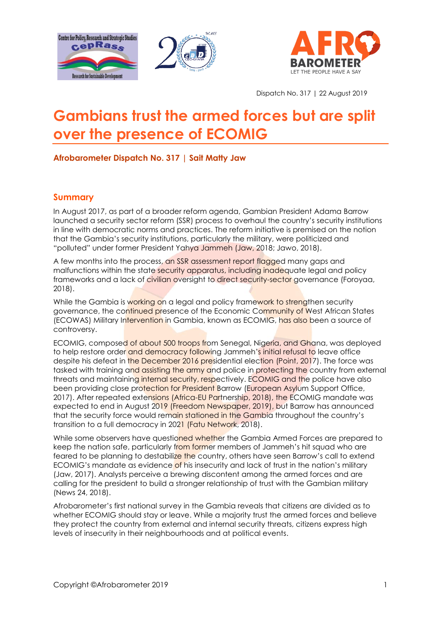





Dispatch No. 317 | 22 August 2019

# **Gambians trust the armed forces but are split over the presence of ECOMIG**

**Afrobarometer Dispatch No. 317 | Sait Matty Jaw** 

#### **Summary**

In August 2017, as part of a broader reform agenda, Gambian President Adama Barrow launched a security sector reform (SSR) process to overhaul the country's security institutions in line with democratic norms and practices. The reform initiative is premised on the notion that the Gambia's security institutions, particularly the military, were politicized and "polluted" under former President Yahya Jammeh (Jaw, 2018; Jawo, 2018).

A few months into the process, an SSR assessment report flagged many gaps and malfunctions within the state security apparatus, including inadequate legal and policy frameworks and a lack of civilian oversight to direct security-sector governance (Foroyaa, 2018).

While the Gambia is working on a legal and policy framework to strengthen security governance, the continued presence of the Economic Community of West African States (ECOWAS) Military Intervention in Gambia, known as ECOMIG, has also been a source of controversy.

ECOMIG, composed of about 500 troops from Senegal, Nigeria, and Ghana, was deployed to help restore order and democracy following Jammeh's initial refusal to leave office despite his defeat in the December 2016 presidential election (Point, 2017). The force was tasked with training and assisting the army and police in protecting the country from external threats and maintaining internal security, respectively. ECOMIG and the police have also been providing close protection for President Barrow (European Asylum Support Office, 2017). After repeated extensions (Africa-EU Partnership, 2018), the ECOMIG mandate was expected to end in August 2019 (Freedom Newspaper, 2019), but Barrow has announced that the security force would remain stationed in the Gambia throughout the country's transition to a full democracy in 2021 (Fatu Network, 2018).

While some observers have questioned whether the Gambia Armed Forces are prepared to keep the nation safe, particularly from former members of Jammeh's hit squad who are feared to be planning to destabilize the country, others have seen Barrow's call to extend ECOMIG's mandate as evidence of his insecurity and lack of trust in the nation's military (Jaw, 2017). Analysts perceive a brewing discontent among the armed forces and are calling for the president to build a stronger relationship of trust with the Gambian military (News 24, 2018).

Afrobarometer's first national survey in the Gambia reveals that citizens are divided as to whether ECOMIG should stay or leave. While a majority trust the armed forces and believe they protect the country from external and internal security threats, citizens express high levels of insecurity in their neighbourhoods and at political events.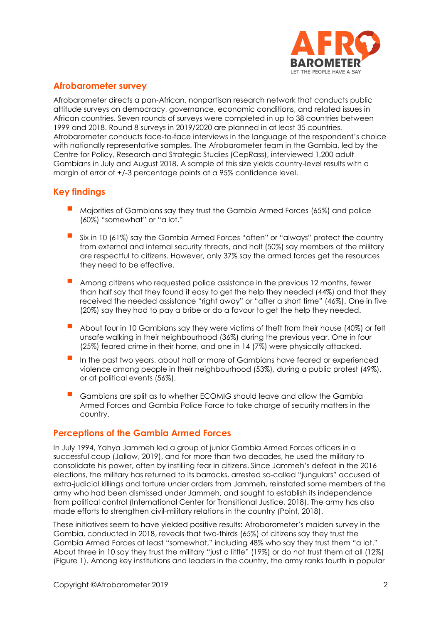

### **Afrobarometer survey**

Afrobarometer directs a pan-African, nonpartisan research network that conducts public attitude surveys on democracy, governance, economic conditions, and related issues in African countries. Seven rounds of surveys were completed in up to 38 countries between 1999 and 2018. Round 8 surveys in 2019/2020 are planned in at least 35 countries. Afrobarometer conducts face-to-face interviews in the language of the respondent's choice with nationally representative samples. The Afrobarometer team in the Gambia, led by the Centre for Policy, Research and Strategic Studies (CepRass), interviewed 1,200 adult Gambians in July and August 2018. A sample of this size yields country-level results with a margin of error of +/-3 percentage points at a 95% confidence level.

### **Key findings**

- Majorities of Gambians say they trust the Gambia Armed Forces (65%) and police (60%) "somewhat" or "a lot."
- Six in 10 (61%) say the Gambia Armed Forces "often" or "always" protect the country from external and internal security threats, and half (50%) say members of the military are respectful to citizens. However, only 37% say the armed forces get the resources they need to be effective.
- Among citizens who requested police assistance in the previous 12 months, fewer than half say that they found it easy to get the help they needed (44%) and that they received the needed assistance "right away" or "after a short time" (46%). One in five (20%) say they had to pay a bribe or do a favour to get the help they needed.
- About four in 10 Gambians say they were victims of theft from their house (40%) or felt unsafe walking in their neighbourhood (36%) during the previous year. One in four (25%) feared crime in their home, and one in 14 (7%) were physically attacked.
- In the past two years, about half or more of Gambians have feared or experienced violence among people in their neighbourhood (53%), during a public protest (49%), or at political events (56%).
- Gambians are split as to whether ECOMIG should leave and allow the Gambia Armed Forces and Gambia Police Force to take charge of security matters in the country.

#### **Perceptions of the Gambia Armed Forces**

In July 1994, Yahya Jammeh led a group of junior Gambia Armed Forces officers in a successful coup (Jallow, 2019), and for more than two decades, he used the military to consolidate his power, often by instilling fear in citizens. Since Jammeh's defeat in the 2016 elections, the military has returned to its barracks, arrested so-called "jungulars" accused of extra-judicial killings and torture under orders from Jammeh, reinstated some members of the army who had been dismissed under Jammeh, and sought to establish its independence from political control (International Center for Transitional Justice, 2018). The army has also made efforts to strengthen civil-military relations in the country (Point, 2018).

These initiatives seem to have yielded positive results: Afrobarometer's maiden survey in the Gambia, conducted in 2018, reveals that two-thirds (65%) of citizens say they trust the Gambia Armed Forces at least "somewhat," including 48% who say they trust them "a lot." About three in 10 say they trust the military "just a little" (19%) or do not trust them at all (12%) (Figure 1). Among key institutions and leaders in the country, the army ranks fourth in popular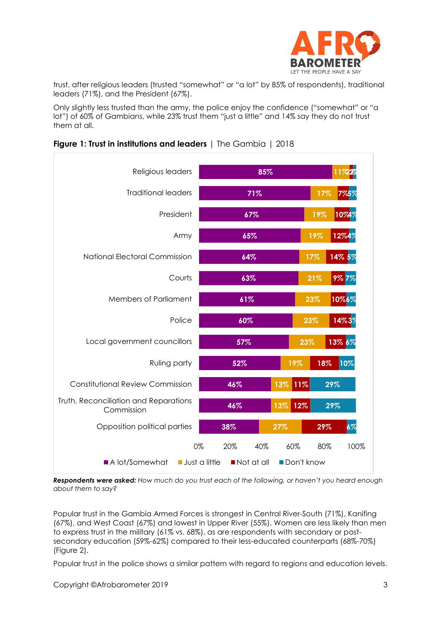

trust, after religious leaders (trusted "somewhat" or "a lot" by 85% of respondents), traditional leaders (71%), and the President (67%).

Only slightly less trusted than the army, the police enjoy the confidence ("somewhat" or "a lot") of 60% of Gambians, while 23% trust them "just a little" and 14% say they do not trust them at all.



|  |  | Figure 1: Trust in institutions and leaders   The Gambia   2018 |  |
|--|--|-----------------------------------------------------------------|--|
|  |  |                                                                 |  |

*Respondents were asked: How much do you trust each of the following, or haven't you heard enough about them to say?*

Popular trust in the Gambia Armed Forces is strongest in Central River-South (71%), Kanifing (67%), and West Coast (67%) and lowest in Upper River (55%). Women are less likely than men to express trust in the military (61% vs. 68%), as are respondents with secondary or postsecondary education (59%-62%) compared to their less-educated counterparts (68%-70%) (Figure 2).

Popular trust in the police shows a similar pattern with regard to regions and education levels.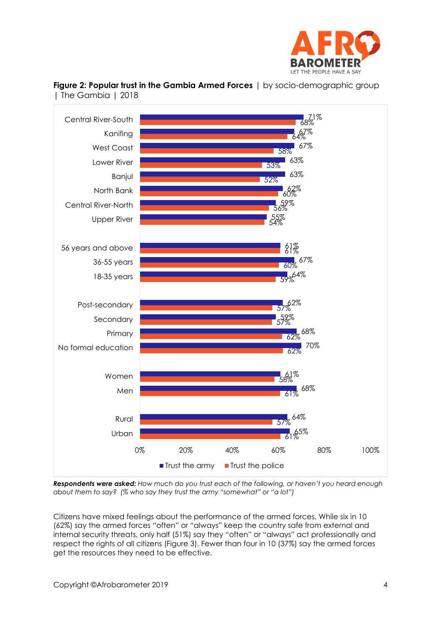



**Figure 2: Popular trust in the Gambia Armed Forces** | by socio-demographic group | The Gambia | 2018

*Respondents were asked: How much do you trust each of the following, or haven't you heard enough about them to say? (% who say they trust the army "somewhat" or "a lot")*

Citizens have mixed feelings about the performance of the armed forces. While six in 10 (62%) say the armed forces "often" or "always" keep the country safe from external and internal security threats, only half (51%) say they "often" or "always" act professionally and respect the rights of all citizens (Figure 3). Fewer than four in 10 (37%) say the armed forces get the resources they need to be effective.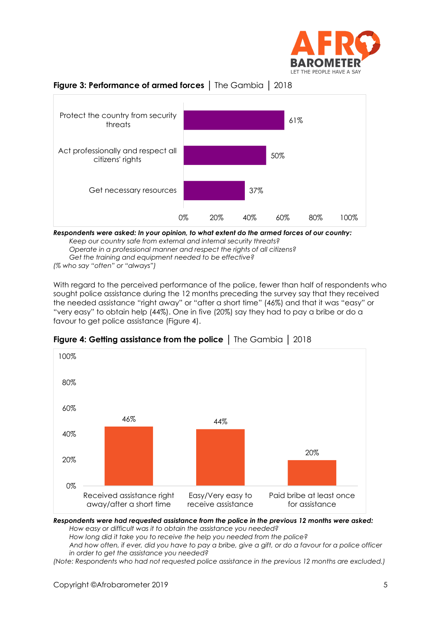





*Respondents were asked: In your opinion, to what extent do the armed forces of our country: Keep our country safe from external and internal security threats? Operate in a professional manner and respect the rights of all citizens? Get the training and equipment needed to be effective? (% who say "often" or "always")*

With regard to the perceived performance of the police, fewer than half of respondents who sought police assistance during the 12 months preceding the survey say that they received the needed assistance "right away" or "after a short time" (46%) and that it was "easy" or "very easy" to obtain help (44%). One in five (20%) say they had to pay a bribe or do a favour to get police assistance (Figure 4).



**Figure 4: Getting assistance from the police** │ The Gambia │ 2018

*Respondents were had requested assistance from the police in the previous 12 months were asked:*

*How easy or difficult was it to obtain the assistance you needed?*

*How long did it take you to receive the help you needed from the police? And how often, if ever, did you have to pay a bribe, give a gift, or do a favour for a police officer in order to get the assistance you needed?*

*(Note: Respondents who had not requested police assistance in the previous 12 months are excluded.)*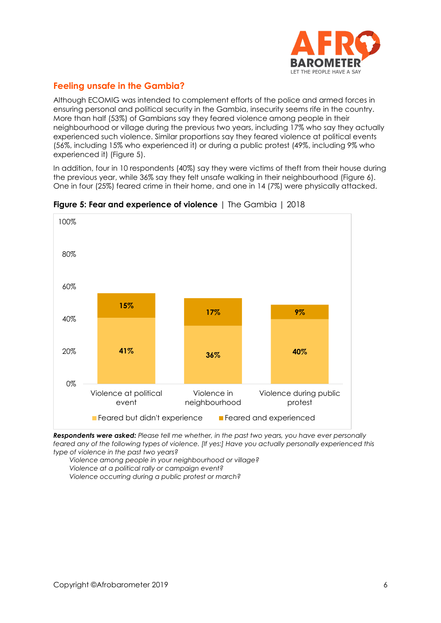

# **Feeling unsafe in the Gambia?**

Although ECOMIG was intended to complement efforts of the police and armed forces in ensuring personal and political security in the Gambia, insecurity seems rife in the country. More than half (53%) of Gambians say they feared violence among people in their neighbourhood or village during the previous two years, including 17% who say they actually experienced such violence. Similar proportions say they feared violence at political events (56%, including 15% who experienced it) or during a public protest (49%, including 9% who experienced it) (Figure 5).

In addition, four in 10 respondents (40%) say they were victims of theft from their house during the previous year, while 36% say they felt unsafe walking in their neighbourhood (Figure 6). One in four (25%) feared crime in their home, and one in 14 (7%) were physically attacked.



**Figure 5: Fear and experience of violence** | The Gambia | 2018

*Respondents were asked: Please tell me whether, in the past two years, you have ever personally feared any of the following types of violence. [If yes:] Have you actually personally experienced this type of violence in the past two years?*

*Violence among people in your neighbourhood or village? Violence at a political rally or campaign event? Violence occurring during a public protest or march?*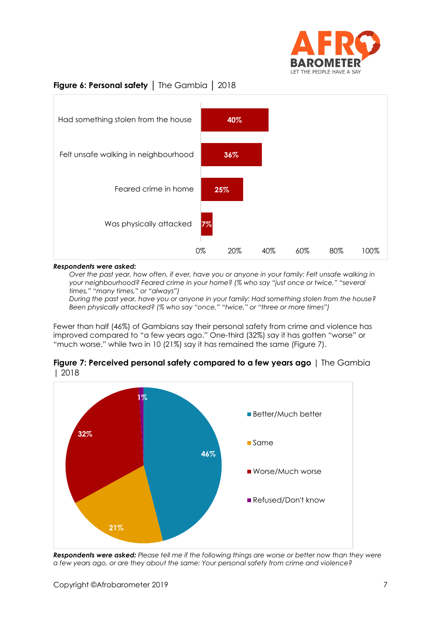

# **Figure 6: Personal safety** │ The Gambia │ 2018



#### *Respondents were asked:*

*Over the past year, how often, if ever, have you or anyone in your family: Felt unsafe walking in your neighbourhood? Feared crime in your home? (% who say "just once or twice," "several times," "many times," or "always")*

*During the past year, have you or anyone in your family: Had something stolen from the house? Been physically attacked? (% who say "once," "twice," or "three or more times")*

Fewer than half (46%) of Gambians say their personal safety from crime and violence has improved compared to "a few years ago." One-third (32%) say it has gotten "worse" or "much worse," while two in 10 (21%) say it has remained the same (Figure 7).



**Figure 7: Perceived personal safety compared to a few years ago** | The Gambia | 2018

*Respondents were asked: Please tell me if the following things are worse or better now than they were a few years ago, or are they about the same: Your personal safety from crime and violence?*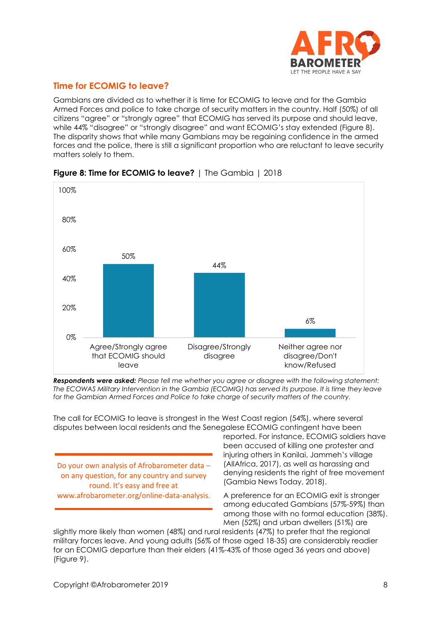

# **Time for ECOMIG to leave?**

Gambians are divided as to whether it is time for ECOMIG to leave and for the Gambia Armed Forces and police to take charge of security matters in the country. Half (50%) of all citizens "agree" or "strongly agree" that ECOMIG has served its purpose and should leave, while 44% "disagree" or "strongly disagree" and want ECOMIG's stay extended (Figure 8). The disparity shows that while many Gambians may be regaining confidence in the armed forces and the police, there is still a significant proportion who are reluctant to leave security matters solely to them.



# **Figure 8: Time for ECOMIG to leave?** | The Gambia | 2018

*Respondents were asked: Please tell me whether you agree or disagree with the following statement: The ECOWAS Military Intervention in the Gambia (ECOMIG) has served its purpose. It is time they leave for the Gambian Armed Forces and Police to take charge of security matters of the country.*

The call for ECOMIG to leave is strongest in the West Coast region (54%), where several disputes between local residents and the Senegalese ECOMIG contingent have been

Do your own analysis of Afrobarometer data – on any question, for any country and survey round. It's easy and free at www.afrobarometer.org/online-data-analysis. reported. For instance, ECOMIG soldiers have been accused of killing one protester and injuring others in Kanilai, Jammeh's village (AllAfrica, 2017), as well as harassing and denying residents the right of free movement (Gambia News Today, 2018).

A preference for an ECOMIG exit is stronger among educated Gambians (57%-59%) than among those with no formal education (38%). Men (52%) and urban dwellers (51%) are

slightly more likely than women (48%) and rural residents (47%) to prefer that the regional military forces leave. And young adults (56% of those aged 18-35) are considerably readier for an ECOMIG departure than their elders (41%-43% of those aged 36 years and above) (Figure 9).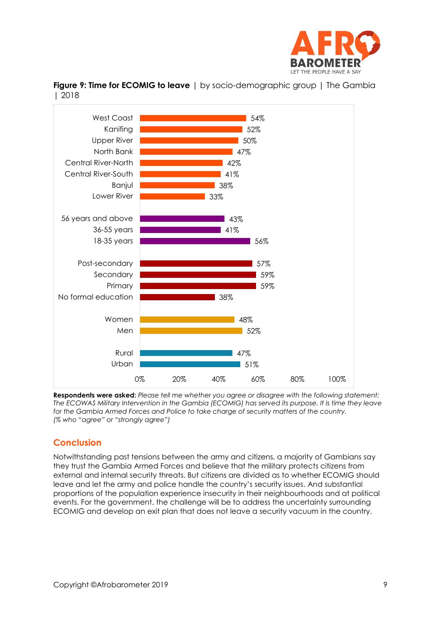



**Figure 9: Time for ECOMIG to leave** | by socio-demographic group | The Gambia | 2018

**Respondents were asked:** *Please tell me whether you agree or disagree with the following statement: The ECOWAS Military Intervention in the Gambia (ECOMIG) has served its purpose. It is time they leave for the Gambia Armed Forces and Police to take charge of security matters of the country. (% who "agree" or "strongly agree")*

# **Conclusion**

Notwithstanding past tensions between the army and citizens, a majority of Gambians say they trust the Gambia Armed Forces and believe that the military protects citizens from external and internal security threats. But citizens are divided as to whether ECOMIG should leave and let the army and police handle the country's security issues. And substantial proportions of the population experience insecurity in their neighbourhoods and at political events. For the government, the challenge will be to address the uncertainty surrounding ECOMIG and develop an exit plan that does not leave a security vacuum in the country.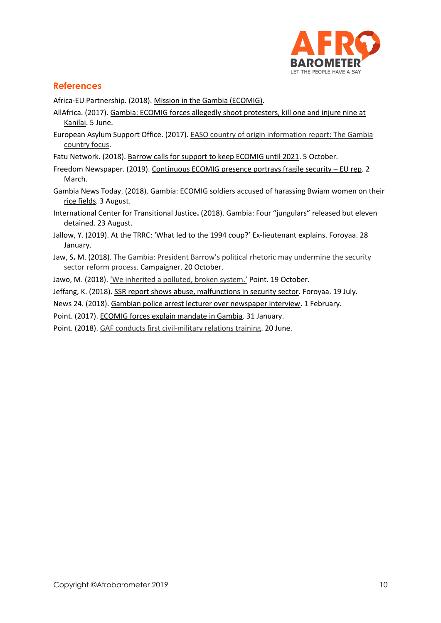

# **References**

Africa-EU Partnership. (2018)[. Mission in the Gambia \(ECOMIG\).](https://www.africa-eu-partnership.org/en/projects/mission-gambia-ecomig)

- AllAfrica. (2017). [Gambia: ECOMIG forces allegedly shoot protesters, kill one and injure nine at](https://allafrica.com/stories/201706050882.html)  [Kanilai.](https://allafrica.com/stories/201706050882.html) 5 June.
- European Asylum Support Office. (2017). [EASO country of origin information report:](https://www.easo.europa.eu/sites/default/files/coi-report-gambia.pdf) The Gambia [country focus.](https://www.easo.europa.eu/sites/default/files/coi-report-gambia.pdf)

Fatu Network. (2018)[. Barrow calls for support to keep ECOMIG until 2021.](http://fatunetwork.net/barrow-calls-for-support-to-keep-ecomig-until-2021/) 5 October.

- Freedom Newspaper. (2019). [Continuous ECOMIG presence portrays fragile security](https://www.freedomnewspaper.com/2019/03/02/gambia-eu-will-stop-funding-the-presence-of-ecomig-troops-in-gambia-by-august-if-they-decide-to-extend-the-mandate-then-comes-the-question-of-who-pays-the-bill-eu-ambassador-asked/) EU rep. 2 March.
- Gambia News Today. (2018). [Gambia: ECOMIG soldiers accused of harassing Bwiam women on their](https://gambianewstoday.com/gambia-ecomig-soldiers-accused-of-harassing-bwiam-women-on-their-rice-fields/)  [rice fields.](https://gambianewstoday.com/gambia-ecomig-soldiers-accused-of-harassing-bwiam-women-on-their-rice-fields/) 3 August.
- International Center for Transitional Justice**.** (2018). Gambia: Four "jungulars" [released but eleven](https://www.ictj.org/news/gambia-four-%E2%80%98jungulars%E2%80%99-released-eleven-soldiers-still-detained)  [detained.](https://www.ictj.org/news/gambia-four-%E2%80%98jungulars%E2%80%99-released-eleven-soldiers-still-detained) 23 August.
- Jallow, Y. (2019). [At the TRRC: 'What led to the 1994 coup?'](https://foroyaa.gm/at-the-trrc-what-led-to-the-1994-coup-ex-lieutenant-explains/) Ex-lieutenant explains. Foroyaa. 28 January.
- Jaw, S**.** M. (2018). [The Gambia: President Barrow's political rhetoric ma](https://dcampaigner.wordpress.com/2018/10/17/the-gambia-president-barrows-political-rhetoric-may-undermine-the-security-sector-reform-process/)y undermine the security [sector reform process.](https://dcampaigner.wordpress.com/2018/10/17/the-gambia-president-barrows-political-rhetoric-may-undermine-the-security-sector-reform-process/) Campaigner. 20 October.

Jawo, M. (2018). ['We inherited a polluted, broken system.'](http://thepoint.gm/africa/gambia/article/we-inherited-a-polluted-broken-system) Point. 19 October.

Jeffang, K. (2018)[. SSR report shows abuse, malfunctions in security sector.](https://foroyaa.gm/ssr-report-shows-abuse-malfunctions-in-security-sector/) Foroyaa. 19 July.

News 24. (2018). [Gambian police arrest lecturer over newspaper interview.](https://www.news24.com/Africa/News/gambian-police-arrest-lecturer-over-newspaper-interview-20180201) 1 February.

Point. (2017). [ECOMIG forces explain mandate in Gambia.](http://thepoint.gm/africa/gambia/article/ecomig-forces-explain-mandate-in-gambia) 31 January.

Point. (2018). [GAF conducts first civil-military relations training.](http://thepoint.gm/africa/gambia/article/gaf-conducts-first-civil-military-relations-training) 20 June.